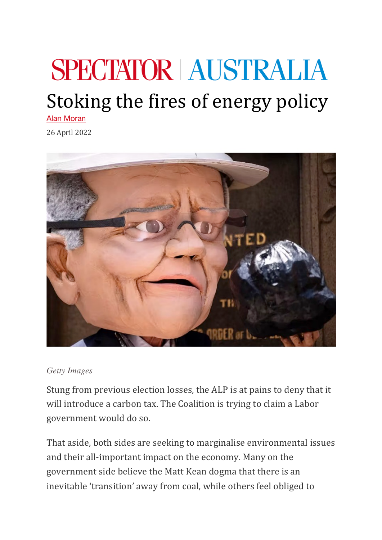## **SPECTATOR AUSTRALIA**

## Stoking the fires of energy policy

Alan Moran

26 April 2022



## *Getty Images*

Stung from previous election losses, the ALP is at pains to deny that it will introduce a carbon tax. The Coalition is trying to claim a Labor government would do so.

That aside, both sides are seeking to marginalise environmental issues and their all-important impact on the economy. Many on the government side believe the Matt Kean dogma that there is an inevitable 'transition' away from coal, while others feel obliged to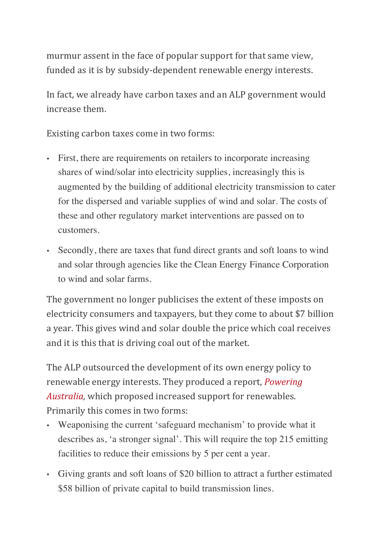murmur assent in the face of popular support for that same view, funded as it is by subsidy-dependent renewable energy interests.

In fact, we already have carbon taxes and an ALP government would increase them.

Existing carbon taxes come in two forms:

- First, there are requirements on retailers to incorporate increasing shares of wind/solar into electricity supplies, increasingly this is augmented by the building of additional electricity transmission to cater for the dispersed and variable supplies of wind and solar. The costs of these and other regulatory market interventions are passed on to customers.
- Secondly, there are taxes that fund direct grants and soft loans to wind and solar through agencies like the Clean Energy Finance Corporation to wind and solar farms.

The government no longer publicises the extent of these imposts on electricity consumers and taxpayers, but they come to about \$7 billion a year. This gives wind and solar double the price which coal receives and it is this that is driving coal out of the market.

The ALP outsourced the development of its own energy policy to renewable energy interests. They produced a report, *Powering Australia*, which proposed increased support for renewables. Primarily this comes in two forms:

- Weaponising the current 'safeguard mechanism' to provide what it describes as, 'a stronger signal'. This will require the top 215 emitting facilities to reduce their emissions by 5 per cent a year.
- Giving grants and soft loans of \$20 billion to attract a further estimated \$58 billion of private capital to build transmission lines.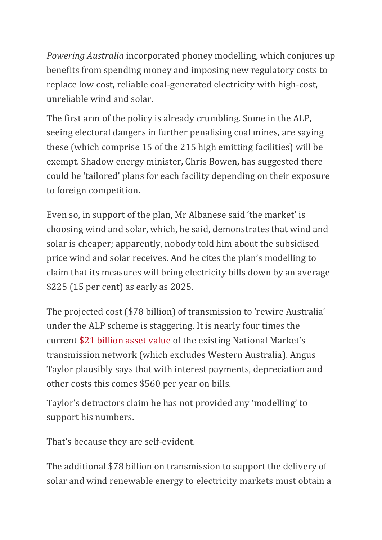*Powering Australia* incorporated phoney modelling, which conjures up benefits from spending money and imposing new regulatory costs to replace low cost, reliable coal-generated electricity with high-cost, unreliable wind and solar.

The first arm of the policy is already crumbling. Some in the ALP, seeing electoral dangers in further penalising coal mines, are saying these (which comprise 15 of the 215 high emitting facilities) will be exempt. Shadow energy minister, Chris Bowen, has suggested there could be 'tailored' plans for each facility depending on their exposure to foreign competition.

Even so, in support of the plan, Mr Albanese said 'the market' is choosing wind and solar, which, he said, demonstrates that wind and solar is cheaper; apparently, nobody told him about the subsidised price wind and solar receives. And he cites the plan's modelling to claim that its measures will bring electricity bills down by an average  $$225$  (15 per cent) as early as 2025.

The projected cost (\$78 billion) of transmission to 'rewire Australia' under the ALP scheme is staggering. It is nearly four times the current \$21 billion asset value of the existing National Market's transmission network (which excludes Western Australia). Angus Taylor plausibly says that with interest payments, depreciation and other costs this comes \$560 per year on bills.

Taylor's detractors claim he has not provided any 'modelling' to support his numbers.

That's because they are self-evident.

The additional \$78 billion on transmission to support the delivery of solar and wind renewable energy to electricity markets must obtain a